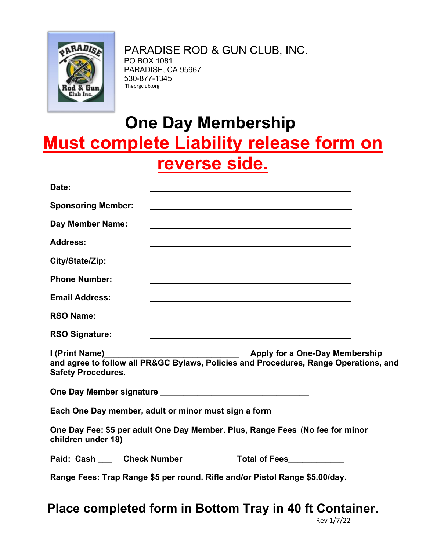

PARADISE ROD & GUN CLUB, INC. PO BOX 1081 PARADISE, CA 95967 530-877-1345 Theprgclub.org

## **One Day Membership Must complete Liability release form on reverse side.**

| Date:                                                                                                             |  |                                                                                                                      |  |  |  |
|-------------------------------------------------------------------------------------------------------------------|--|----------------------------------------------------------------------------------------------------------------------|--|--|--|
| <b>Sponsoring Member:</b>                                                                                         |  | <u> 1980 - Johann Barn, amerikan besteman besteman besteman besteman besteman besteman besteman besteman bestema</u> |  |  |  |
| <b>Day Member Name:</b>                                                                                           |  |                                                                                                                      |  |  |  |
| <b>Address:</b>                                                                                                   |  |                                                                                                                      |  |  |  |
| City/State/Zip:                                                                                                   |  | and the control of the control of the control of the control of the control of the control of the control of the     |  |  |  |
| <b>Phone Number:</b>                                                                                              |  |                                                                                                                      |  |  |  |
| <b>Email Address:</b>                                                                                             |  | and the control of the control of the control of the control of the control of the control of the control of the     |  |  |  |
| <b>RSO Name:</b>                                                                                                  |  | <u> 1989 - Johann Stoff, amerikansk politiker (d. 1989)</u>                                                          |  |  |  |
| <b>RSO Signature:</b>                                                                                             |  |                                                                                                                      |  |  |  |
| and agree to follow all PR&GC Bylaws, Policies and Procedures, Range Operations, and<br><b>Safety Procedures.</b> |  |                                                                                                                      |  |  |  |
|                                                                                                                   |  |                                                                                                                      |  |  |  |
| Each One Day member, adult or minor must sign a form                                                              |  |                                                                                                                      |  |  |  |
| One Day Fee: \$5 per adult One Day Member. Plus, Range Fees (No fee for minor<br>children under 18)               |  |                                                                                                                      |  |  |  |
|                                                                                                                   |  |                                                                                                                      |  |  |  |
| Range Fees: Trap Range \$5 per round. Rifle and/or Pistol Range \$5.00/day.                                       |  |                                                                                                                      |  |  |  |

**Place completed form in Bottom Tray in 40 ft Container.**

Rev 1/7/22